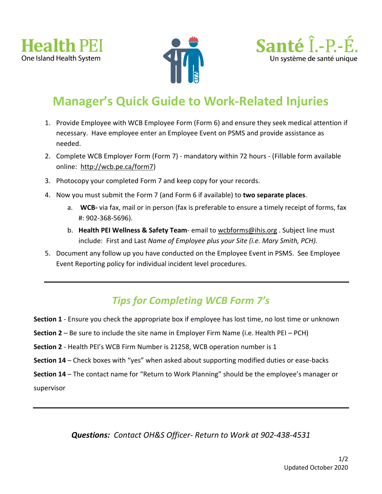





# **Manager's Quick Guide to Work-Related Injuries**

- 1. Provide Employee with WCB Employee Form (Form 6) and ensure they seek medical attention if necessary. Have employee enter an Employee Event on PSMS and provide assistance as needed.
- 2. Complete WCB Employer Form (Form 7) mandatory within 72 hours (Fillable form available online: [http://wcb.pe.ca/form7\)](http://wcb.pe.ca/form7)
- 3. Photocopy your completed Form 7 and keep copy for your records.
- 4. Now you must submit the Form 7 (and Form 6 if available) to **two separate places**.
	- a. **WCB-** via fax, mail or in person (fax is preferable to ensure a timely receipt of forms, fax #: 902-368-5696).
	- b. **Health PEI Wellness & Safety Team** email to [wcbforms@ihis.org](mailto:wcbforms@ihis.org) . Subject line must include: First and Last *Name of Employee plus your Site (i.e. Mary Smith, PCH).*
- 5. Document any follow up you have conducted on the Employee Event in PSMS. See Employee Event Reporting policy for individual incident level procedures.

## *Tips for Completing WCB Form 7's*

- **Section 1** Ensure you check the appropriate box if employee has lost time, no lost time or unknown
- **Section 2** Be sure to include the site name in Employer Firm Name (i.e. Health PEI PCH)
- **Section 2** Health PEI's WCB Firm Number is 21258, WCB operation number is 1
- **Section 14** Check boxes with "yes" when asked about supporting modified duties or ease-backs
- **Section 14** The contact name for "Return to Work Planning" should be the employee's manager or

supervisor

*Questions: Contact OH&S Officer- Return to Work at 902-438-4531*